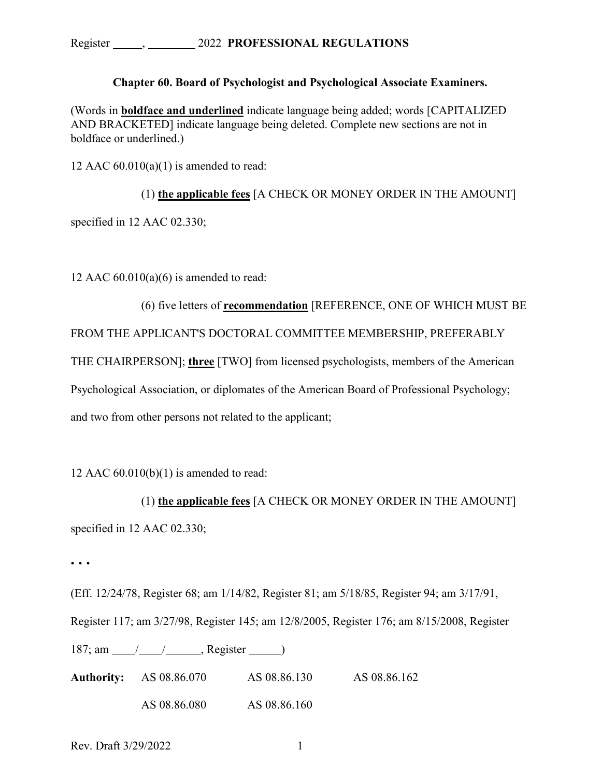## **Chapter 60. Board of Psychologist and Psychological Associate Examiners.**

(Words in **boldface and underlined** indicate language being added; words [CAPITALIZED AND BRACKETED] indicate language being deleted. Complete new sections are not in boldface or underlined.)

12 AAC  $60.010(a)(1)$  is amended to read:

(1) **the applicable fees** [A CHECK OR MONEY ORDER IN THE AMOUNT] specified in 12 AAC 02.330;

12 AAC  $60.010(a)(6)$  is amended to read:

(6) five letters of **recommendation** [REFERENCE, ONE OF WHICH MUST BE FROM THE APPLICANT'S DOCTORAL COMMITTEE MEMBERSHIP, PREFERABLY THE CHAIRPERSON]; **three** [TWO] from licensed psychologists, members of the American Psychological Association, or diplomates of the American Board of Professional Psychology; and two from other persons not related to the applicant;

12 AAC  $60.010(b)(1)$  is amended to read:

(1) **the applicable fees** [A CHECK OR MONEY ORDER IN THE AMOUNT] specified in 12 AAC 02.330;

**. . .** 

(Eff. 12/24/78, Register 68; am 1/14/82, Register 81; am 5/18/85, Register 94; am 3/17/91, Register 117; am 3/27/98, Register 145; am 12/8/2005, Register 176; am 8/15/2008, Register 187; am / / , Register ) **Authority:** AS 08.86.070 AS 08.86.130 AS 08.86.162

AS 08.86.080 AS 08.86.160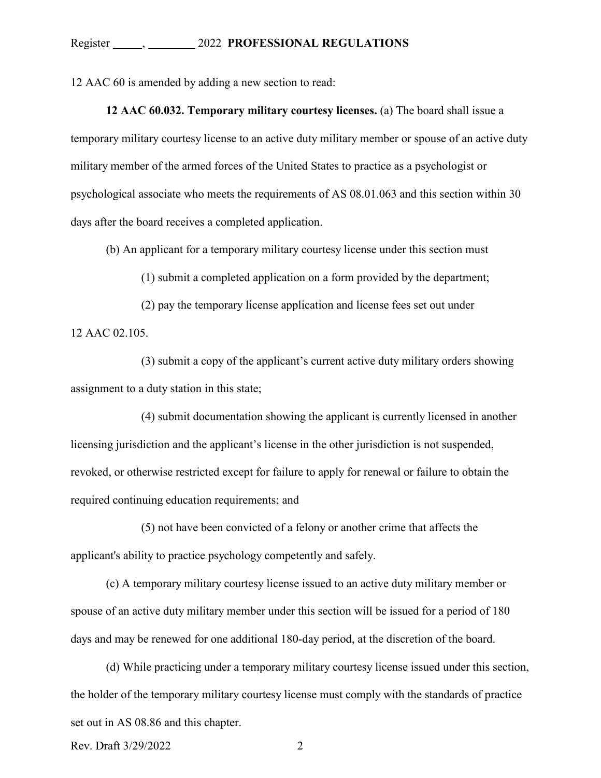12 AAC 60 is amended by adding a new section to read:

**12 AAC 60.032. Temporary military courtesy licenses.** (a) The board shall issue a temporary military courtesy license to an active duty military member or spouse of an active duty military member of the armed forces of the United States to practice as a psychologist or psychological associate who meets the requirements of AS 08.01.063 and this section within 30 days after the board receives a completed application.

(b) An applicant for a temporary military courtesy license under this section must

(1) submit a completed application on a form provided by the department;

(2) pay the temporary license application and license fees set out under 12 AAC 02.105.

(3) submit a copy of the applicant's current active duty military orders showing assignment to a duty station in this state;

(4) submit documentation showing the applicant is currently licensed in another licensing jurisdiction and the applicant's license in the other jurisdiction is not suspended, revoked, or otherwise restricted except for failure to apply for renewal or failure to obtain the required continuing education requirements; and

(5) not have been convicted of a felony or another crime that affects the applicant's ability to practice psychology competently and safely.

(c) A temporary military courtesy license issued to an active duty military member or spouse of an active duty military member under this section will be issued for a period of 180 days and may be renewed for one additional 180-day period, at the discretion of the board.

(d) While practicing under a temporary military courtesy license issued under this section, the holder of the temporary military courtesy license must comply with the standards of practice set out in AS 08.86 and this chapter.

Rev. Draft  $3/29/2022$  2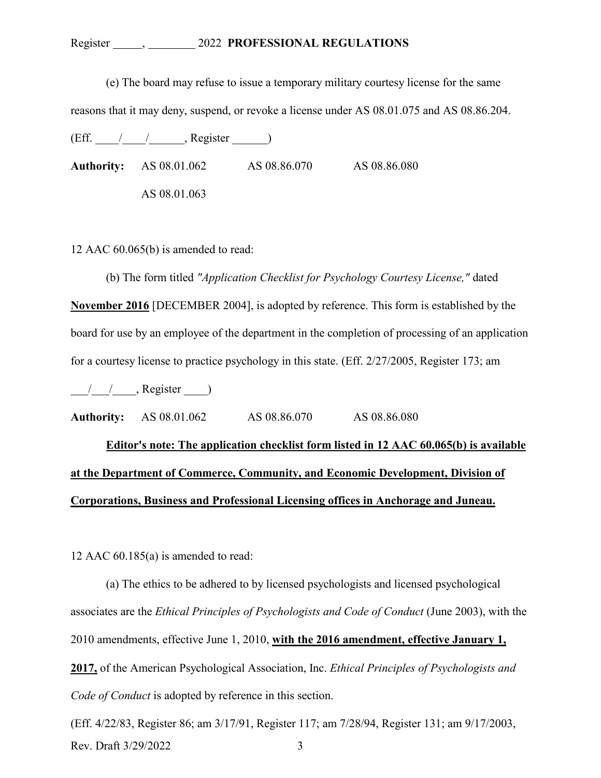## Register , 2022 **PROFESSIONAL REGULATIONS**

(e) The board may refuse to issue a temporary military courtesy license for the same

reasons that it may deny, suspend, or revoke a license under AS 08.01.075 and AS 08.86.204.

 $(Eff. \_ / \_ / \_$ . Register  $\_ )$ 

**Authority:** AS 08.01.062 AS 08.86.070 AS 08.86.080 AS 08.01.063

12 AAC 60.065(b) is amended to read:

(b) The form titled *"Application Checklist for Psychology Courtesy License,"* dated **November 2016** [DECEMBER 2004], is adopted by reference. This form is established by the board for use by an employee of the department in the completion of processing of an application for a courtesy license to practice psychology in this state. (Eff. 2/27/2005, Register 173; am

 $\frac{1}{2}$  , Register  $\frac{1}{2}$ 

**Authority:** AS 08.01.062 AS 08.86.070 AS 08.86.080

**Editor's note: The application checklist form listed in 12 AAC 60.065(b) is available at the Department of Commerce, Community, and Economic Development, Division of Corporations, Business and Professional Licensing offices in Anchorage and Juneau.**

12 AAC 60.185(a) is amended to read:

(a) The ethics to be adhered to by licensed psychologists and licensed psychological associates are the *Ethical Principles of Psychologists and Code of Conduct* (June 2003), with the 2010 amendments, effective June 1, 2010, **with the 2016 amendment, effective January 1, 2017,** of the American Psychological Association, Inc. *Ethical Principles of Psychologists and Code of Conduct* is adopted by reference in this section.

Rev. Draft  $3/29/2022$  3 (Eff. 4/22/83, Register 86; am 3/17/91, Register 117; am 7/28/94, Register 131; am 9/17/2003,